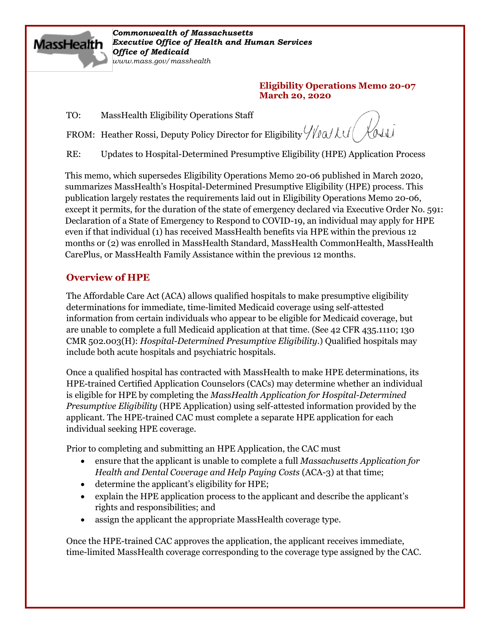

*Commonwealth of Massachusetts Executive Office of Health and Human Services Office of Medicaid www.mass.gov/masshealth*

#### **Eligibility Operations Memo 20-07 March 20, 2020**

TO: MassHealth Eligibility Operations Staff

FROM: Heather Rossi, Deputy Policy Director for Eligibility  $\frac{1}{2}$  ( $\frac{1}{2}$   $\frac{1}{2}$ 

RE: Updates to Hospital-Determined Presumptive Eligibility (HPE) Application Process

This memo, which supersedes Eligibility Operations Memo 20-06 published in March 2020, summarizes MassHealth's Hospital-Determined Presumptive Eligibility (HPE) process. This publication largely restates the requirements laid out in Eligibility Operations Memo 20-06, except it permits, for the duration of the state of emergency declared via Executive Order No. 591: Declaration of a State of Emergency to Respond to COVID-19, an individual may apply for HPE even if that individual (1) has received MassHealth benefits via HPE within the previous 12 months or (2) was enrolled in MassHealth Standard, MassHealth CommonHealth, MassHealth CarePlus, or MassHealth Family Assistance within the previous 12 months.

## **Overview of HPE**

The Affordable Care Act (ACA) allows qualified hospitals to make presumptive eligibility determinations for immediate, time-limited Medicaid coverage using self-attested information from certain individuals who appear to be eligible for Medicaid coverage, but are unable to complete a full Medicaid application at that time. (See 42 CFR 435.1110; 130 CMR 502.003(H): *Hospital-Determined Presumptive Eligibility*.) Qualified hospitals may include both acute hospitals and psychiatric hospitals.

Once a qualified hospital has contracted with MassHealth to make HPE determinations, its HPE-trained Certified Application Counselors (CACs) may determine whether an individual is eligible for HPE by completing the *MassHealth Application for Hospital-Determined Presumptive Eligibility* (HPE Application) using self-attested information provided by the applicant. The HPE-trained CAC must complete a separate HPE application for each individual seeking HPE coverage.

Prior to completing and submitting an HPE Application, the CAC must

- ensure that the applicant is unable to complete a full *Massachusetts Application for Health and Dental Coverage and Help Paying Costs* (ACA-3) at that time;
- determine the applicant's eligibility for HPE;
- explain the HPE application process to the applicant and describe the applicant's rights and responsibilities; and
- assign the applicant the appropriate MassHealth coverage type.

Once the HPE-trained CAC approves the application, the applicant receives immediate, time-limited MassHealth coverage corresponding to the coverage type assigned by the CAC.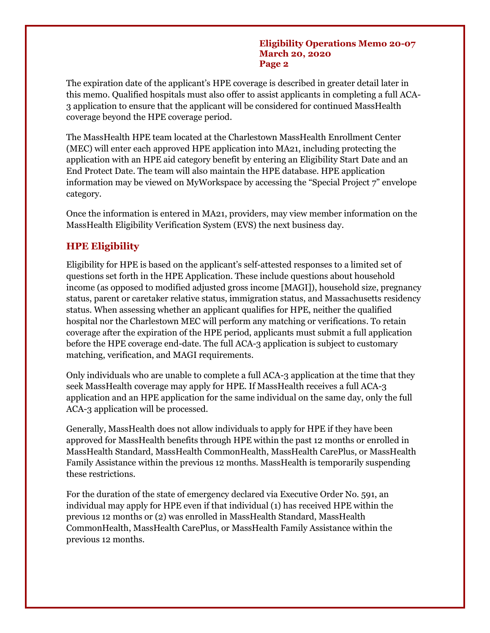#### **Eligibility Operations Memo 20-07 March 20, 2020 Page 2**

The expiration date of the applicant's HPE coverage is described in greater detail later in this memo. Qualified hospitals must also offer to assist applicants in completing a full ACA-3 application to ensure that the applicant will be considered for continued MassHealth coverage beyond the HPE coverage period.

The MassHealth HPE team located at the Charlestown MassHealth Enrollment Center (MEC) will enter each approved HPE application into MA21, including protecting the application with an HPE aid category benefit by entering an Eligibility Start Date and an End Protect Date. The team will also maintain the HPE database. HPE application information may be viewed on MyWorkspace by accessing the "Special Project 7" envelope category.

Once the information is entered in MA21, providers, may view member information on the MassHealth Eligibility Verification System (EVS) the next business day.

## **HPE Eligibility**

Eligibility for HPE is based on the applicant's self-attested responses to a limited set of questions set forth in the HPE Application. These include questions about household income (as opposed to modified adjusted gross income [MAGI]), household size, pregnancy status, parent or caretaker relative status, immigration status, and Massachusetts residency status. When assessing whether an applicant qualifies for HPE, neither the qualified hospital nor the Charlestown MEC will perform any matching or verifications. To retain coverage after the expiration of the HPE period, applicants must submit a full application before the HPE coverage end-date. The full ACA-3 application is subject to customary matching, verification, and MAGI requirements.

Only individuals who are unable to complete a full ACA-3 application at the time that they seek MassHealth coverage may apply for HPE. If MassHealth receives a full ACA-3 application and an HPE application for the same individual on the same day, only the full ACA-3 application will be processed.

Generally, MassHealth does not allow individuals to apply for HPE if they have been approved for MassHealth benefits through HPE within the past 12 months or enrolled in MassHealth Standard, MassHealth CommonHealth, MassHealth CarePlus, or MassHealth Family Assistance within the previous 12 months. MassHealth is temporarily suspending these restrictions.

For the duration of the state of emergency declared via Executive Order No. 591, an individual may apply for HPE even if that individual (1) has received HPE within the previous 12 months or (2) was enrolled in MassHealth Standard, MassHealth CommonHealth, MassHealth CarePlus, or MassHealth Family Assistance within the previous 12 months.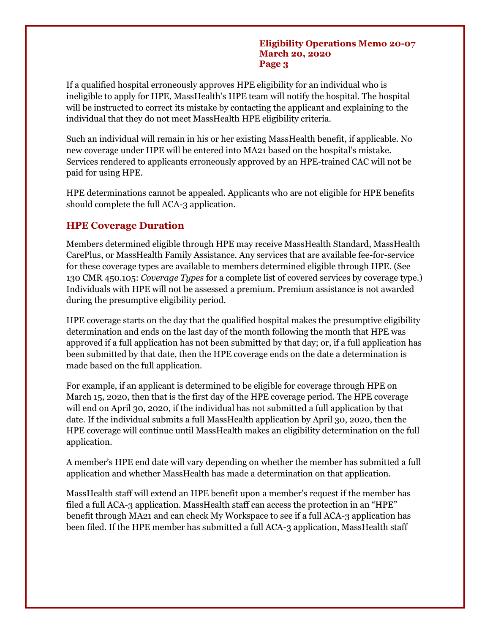#### **Eligibility Operations Memo 20-07 March 20, 2020 Page 3**

If a qualified hospital erroneously approves HPE eligibility for an individual who is ineligible to apply for HPE, MassHealth's HPE team will notify the hospital. The hospital will be instructed to correct its mistake by contacting the applicant and explaining to the individual that they do not meet MassHealth HPE eligibility criteria.

Such an individual will remain in his or her existing MassHealth benefit, if applicable. No new coverage under HPE will be entered into MA21 based on the hospital's mistake. Services rendered to applicants erroneously approved by an HPE-trained CAC will not be paid for using HPE.

HPE determinations cannot be appealed. Applicants who are not eligible for HPE benefits should complete the full ACA-3 application.

## **HPE Coverage Duration**

Members determined eligible through HPE may receive MassHealth Standard, MassHealth CarePlus, or MassHealth Family Assistance. Any services that are available fee-for-service for these coverage types are available to members determined eligible through HPE. (See 130 CMR 450.105: *Coverage Types* for a complete list of covered services by coverage type.) Individuals with HPE will not be assessed a premium. Premium assistance is not awarded during the presumptive eligibility period.

HPE coverage starts on the day that the qualified hospital makes the presumptive eligibility determination and ends on the last day of the month following the month that HPE was approved if a full application has not been submitted by that day; or, if a full application has been submitted by that date, then the HPE coverage ends on the date a determination is made based on the full application.

For example, if an applicant is determined to be eligible for coverage through HPE on March 15, 2020, then that is the first day of the HPE coverage period. The HPE coverage will end on April 30, 2020, if the individual has not submitted a full application by that date. If the individual submits a full MassHealth application by April 30, 2020, then the HPE coverage will continue until MassHealth makes an eligibility determination on the full application.

A member's HPE end date will vary depending on whether the member has submitted a full application and whether MassHealth has made a determination on that application.

MassHealth staff will extend an HPE benefit upon a member's request if the member has filed a full ACA-3 application. MassHealth staff can access the protection in an "HPE" benefit through MA21 and can check My Workspace to see if a full ACA-3 application has been filed. If the HPE member has submitted a full ACA-3 application, MassHealth staff